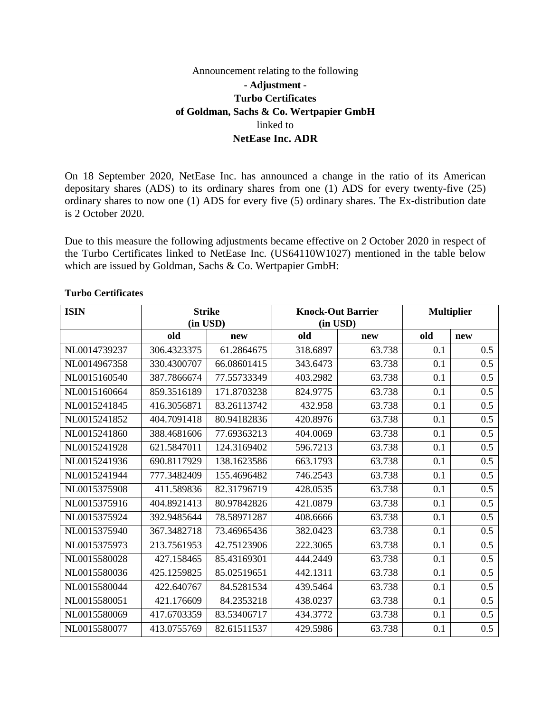## Announcement relating to the following **- Adjustment - Turbo Certificates of Goldman, Sachs & Co. Wertpapier GmbH**  linked to **NetEase Inc. ADR**

On 18 September 2020, NetEase Inc. has announced a change in the ratio of its American depositary shares (ADS) to its ordinary shares from one (1) ADS for every twenty-five (25) ordinary shares to now one (1) ADS for every five (5) ordinary shares. The Ex-distribution date is 2 October 2020.

Due to this measure the following adjustments became effective on 2 October 2020 in respect of the Turbo Certificates linked to NetEase Inc. (US64110W1027) mentioned in the table below which are issued by Goldman, Sachs & Co. Wertpapier GmbH:

| <b>ISIN</b>  | <b>Strike</b> |             | <b>Knock-Out Barrier</b> |        | <b>Multiplier</b> |     |
|--------------|---------------|-------------|--------------------------|--------|-------------------|-----|
|              | (in USD)      |             | (in USD)                 |        |                   |     |
|              | old           | new         | old                      | new    | old               | new |
| NL0014739237 | 306.4323375   | 61.2864675  | 318.6897                 | 63.738 | 0.1               | 0.5 |
| NL0014967358 | 330.4300707   | 66.08601415 | 343.6473                 | 63.738 | 0.1               | 0.5 |
| NL0015160540 | 387.7866674   | 77.55733349 | 403.2982                 | 63.738 | 0.1               | 0.5 |
| NL0015160664 | 859.3516189   | 171.8703238 | 824.9775                 | 63.738 | 0.1               | 0.5 |
| NL0015241845 | 416.3056871   | 83.26113742 | 432.958                  | 63.738 | 0.1               | 0.5 |
| NL0015241852 | 404.7091418   | 80.94182836 | 420.8976                 | 63.738 | 0.1               | 0.5 |
| NL0015241860 | 388.4681606   | 77.69363213 | 404.0069                 | 63.738 | 0.1               | 0.5 |
| NL0015241928 | 621.5847011   | 124.3169402 | 596.7213                 | 63.738 | 0.1               | 0.5 |
| NL0015241936 | 690.8117929   | 138.1623586 | 663.1793                 | 63.738 | 0.1               | 0.5 |
| NL0015241944 | 777.3482409   | 155.4696482 | 746.2543                 | 63.738 | 0.1               | 0.5 |
| NL0015375908 | 411.589836    | 82.31796719 | 428.0535                 | 63.738 | 0.1               | 0.5 |
| NL0015375916 | 404.8921413   | 80.97842826 | 421.0879                 | 63.738 | 0.1               | 0.5 |
| NL0015375924 | 392.9485644   | 78.58971287 | 408.6666                 | 63.738 | 0.1               | 0.5 |
| NL0015375940 | 367.3482718   | 73.46965436 | 382.0423                 | 63.738 | 0.1               | 0.5 |
| NL0015375973 | 213.7561953   | 42.75123906 | 222.3065                 | 63.738 | 0.1               | 0.5 |
| NL0015580028 | 427.158465    | 85.43169301 | 444.2449                 | 63.738 | 0.1               | 0.5 |
| NL0015580036 | 425.1259825   | 85.02519651 | 442.1311                 | 63.738 | 0.1               | 0.5 |
| NL0015580044 | 422.640767    | 84.5281534  | 439.5464                 | 63.738 | 0.1               | 0.5 |
| NL0015580051 | 421.176609    | 84.2353218  | 438.0237                 | 63.738 | 0.1               | 0.5 |
| NL0015580069 | 417.6703359   | 83.53406717 | 434.3772                 | 63.738 | 0.1               | 0.5 |
| NL0015580077 | 413.0755769   | 82.61511537 | 429.5986                 | 63.738 | 0.1               | 0.5 |

## **Turbo Certificates**